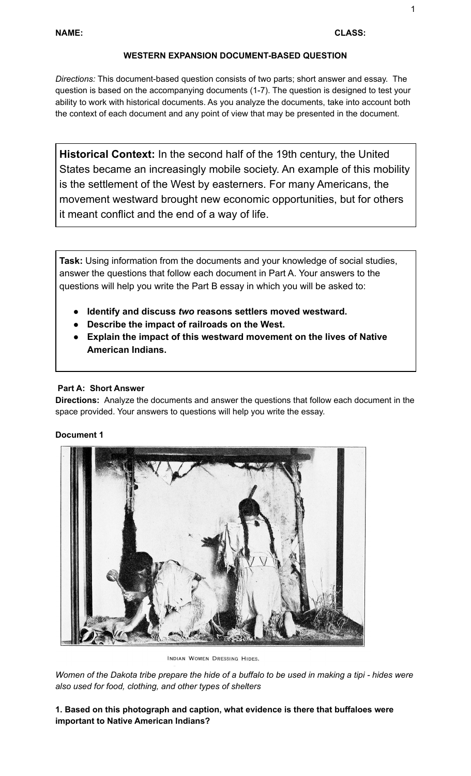### **WESTERN EXPANSION DOCUMENT-BASED QUESTION**

*Directions:* This document-based question consists of two parts; short answer and essay. The question is based on the accompanying documents (1-7). The question is designed to test your ability to work with historical documents. As you analyze the documents, take into account both the context of each document and any point of view that may be presented in the document.

**Historical Context:** In the second half of the 19th century, the United States became an increasingly mobile society. An example of this mobility is the settlement of the West by easterners. For many Americans, the movement westward brought new economic opportunities, but for others it meant conflict and the end of a way of life.

**Task:** Using information from the documents and your knowledge of social studies, answer the questions that follow each document in Part A. Your answers to the questions will help you write the Part B essay in which you will be asked to:

- **Identify and discuss** *two* **reasons settlers moved westward.**
- **Describe the impact of railroads on the West.**
- **Explain the impact of this westward movement on the lives of Native American Indians.**

### **Part A: Short Answer**

**Directions:** Analyze the documents and answer the questions that follow each document in the space provided. Your answers to questions will help you write the essay.

### **Document 1**



INDIAN WOMEN DRESSING HIDES.

Women of the Dakota tribe prepare the hide of a buffalo to be used in making a tipi - hides were *also used for food, clothing, and other types of shelters*

## **1. Based on this photograph and caption, what evidence is there that buffaloes were important to Native American Indians?**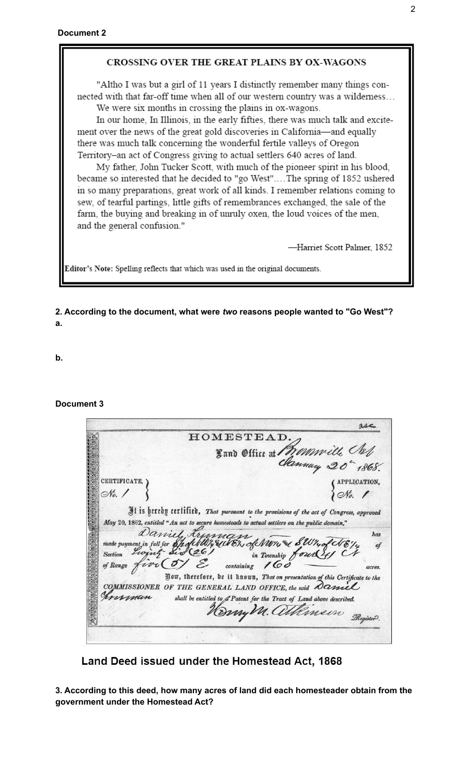#### CROSSING OVER THE GREAT PLAINS BY OX-WAGONS

"Altho I was but a girl of 11 years I distinctly remember many things connected with that far-off time when all of our western country was a wilderness... We were six months in crossing the plains in ox-wagons.

In our home, In Illinois, in the early fifties, there was much talk and excitement over the news of the great gold discoveries in California-and equally there was much talk concerning the wonderful fertile valleys of Oregon Territory-an act of Congress giving to actual settlers 640 acres of land.

My father, John Tucker Scott, with much of the pioneer spirit in his blood, became so interested that he decided to "go West"....The spring of 1852 ushered in so many preparations, great work of all kinds. I remember relations coming to sew, of tearful partings, little gifts of remembrances exchanged, the sale of the farm, the buying and breaking in of unruly oxen, the loud voices of the men, and the general confusion."

-Harriet Scott Palmer, 1852

Editor's Note: Spelling reflects that which was used in the original documents.

#### **2. According to the document, what were** *two* **reasons people wanted to "Go West"? a.**

**b.**

**Document 3**

|                    | HOMESTEAD.                                                                                                                                                                                |                             |
|--------------------|-------------------------------------------------------------------------------------------------------------------------------------------------------------------------------------------|-----------------------------|
|                    |                                                                                                                                                                                           | Sand Office at Mommille Cal |
|                    |                                                                                                                                                                                           |                             |
| <b>CERTIFICATE</b> |                                                                                                                                                                                           | APPLICATION,                |
| No. 1              |                                                                                                                                                                                           | $\frac{1}{10}$              |
|                    | It is hereby certified, That pursuant to the provisions of the act of Congress, approved<br>May 20, 1862, entitled "An act to secure homesteads to actual settlers on the public domain," |                             |
| of Range $fvv$     | Daniel Kyman Merrice Swing<br>containing $160$                                                                                                                                            | has<br>acres.               |
|                    | Jow, therefore, be it known, That on presentation of this Certificate to the                                                                                                              |                             |
| rerman             | COMMISSIONER OF THE GENERAL LAND OFFICE, the said $\mathcal{O}$ aniel<br>shall be entitled to & Patent for the Tract of Land above described.                                             | Hony M. allemein Register.  |

Land Deed issued under the Homestead Act, 1868

**3. According to this deed, how many acres of land did each homesteader obtain from the government under the Homestead Act?**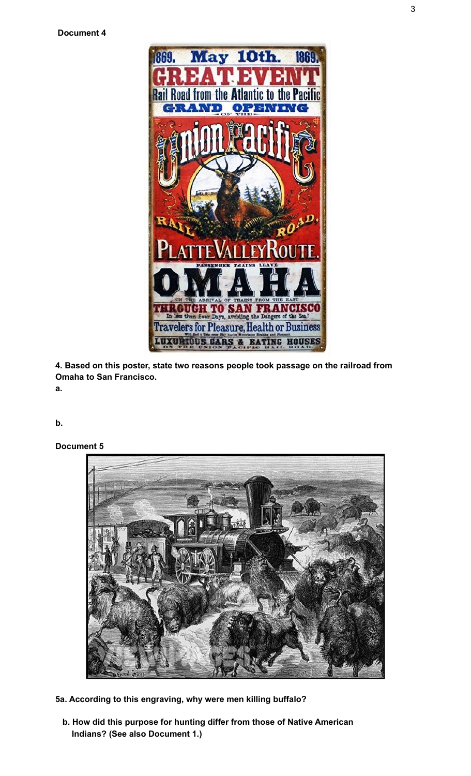

**4. Based on this poster, state two reasons people took passage on the railroad from Omaha to San Francisco.**

**a.**

**b.**

**Document 5**

![](_page_2_Picture_6.jpeg)

- **5a. According to this engraving, why were men killing buffalo?**
	- **b. How did this purpose for hunting differ from those of Native American Indians? (See also Document 1.)**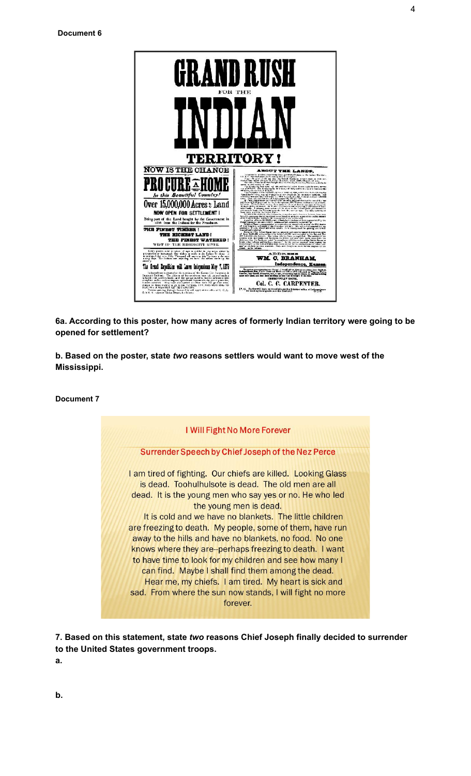![](_page_3_Picture_1.jpeg)

**6a. According to this poster, how many acres of formerly Indian territory were going to be opened for settlement?**

**b. Based on the poster, state** *two* **reasons settlers would want to move west of the Mississippi.**

**Document 7**

![](_page_3_Figure_5.jpeg)

**7. Based on this statement, state** *two* **reasons Chief Joseph finally decided to surrender to the United States government troops.**

**a.**

4

**b.**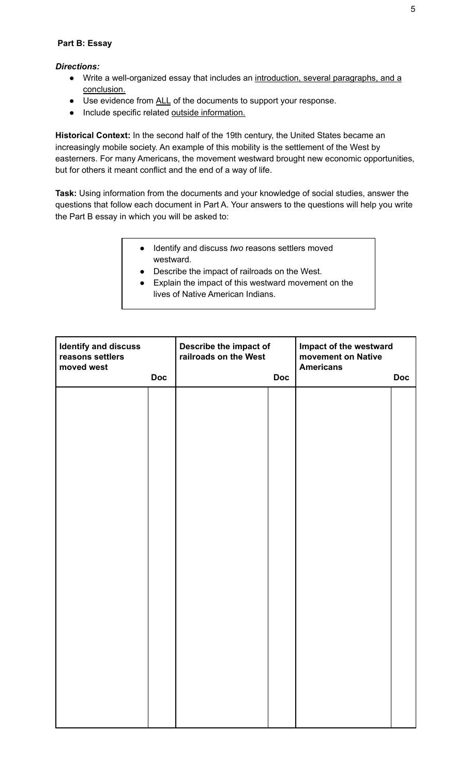### **Part B: Essay**

### *Directions:*

- Write a well-organized essay that includes an introduction, several paragraphs, and a conclusion.
- Use evidence from ALL of the documents to support your response.
- Include specific related outside information.

**Historical Context:** In the second half of the 19th century, the United States became an increasingly mobile society. An example of this mobility is the settlement of the West by easterners. For many Americans, the movement westward brought new economic opportunities, but for others it meant conflict and the end of a way of life.

**Task:** Using information from the documents and your knowledge of social studies, answer the questions that follow each document in Part A. Your answers to the questions will help you write the Part B essay in which you will be asked to:

- Identify and discuss *two* reasons settlers moved westward.
- Describe the impact of railroads on the West.
- Explain the impact of this westward movement on the lives of Native American Indians.

| <b>Identify and discuss</b><br>reasons settlers<br>moved west |            | Describe the impact of<br>railroads on the West |            | Impact of the westward<br>movement on Native<br><b>Americans</b> |            |
|---------------------------------------------------------------|------------|-------------------------------------------------|------------|------------------------------------------------------------------|------------|
|                                                               | <b>Doc</b> |                                                 | <b>Doc</b> |                                                                  | <b>Doc</b> |
|                                                               |            |                                                 |            |                                                                  |            |
|                                                               |            |                                                 |            |                                                                  |            |
|                                                               |            |                                                 |            |                                                                  |            |
|                                                               |            |                                                 |            |                                                                  |            |
|                                                               |            |                                                 |            |                                                                  |            |
|                                                               |            |                                                 |            |                                                                  |            |
|                                                               |            |                                                 |            |                                                                  |            |
|                                                               |            |                                                 |            |                                                                  |            |
|                                                               |            |                                                 |            |                                                                  |            |
|                                                               |            |                                                 |            |                                                                  |            |
|                                                               |            |                                                 |            |                                                                  |            |
|                                                               |            |                                                 |            |                                                                  |            |
|                                                               |            |                                                 |            |                                                                  |            |
|                                                               |            |                                                 |            |                                                                  |            |
|                                                               |            |                                                 |            |                                                                  |            |
|                                                               |            |                                                 |            |                                                                  |            |
|                                                               |            |                                                 |            |                                                                  |            |
|                                                               |            |                                                 |            |                                                                  |            |
|                                                               |            |                                                 |            |                                                                  |            |
|                                                               |            |                                                 |            |                                                                  |            |
|                                                               |            |                                                 |            |                                                                  |            |
|                                                               |            |                                                 |            |                                                                  |            |
|                                                               |            |                                                 |            |                                                                  |            |
|                                                               |            |                                                 |            |                                                                  |            |